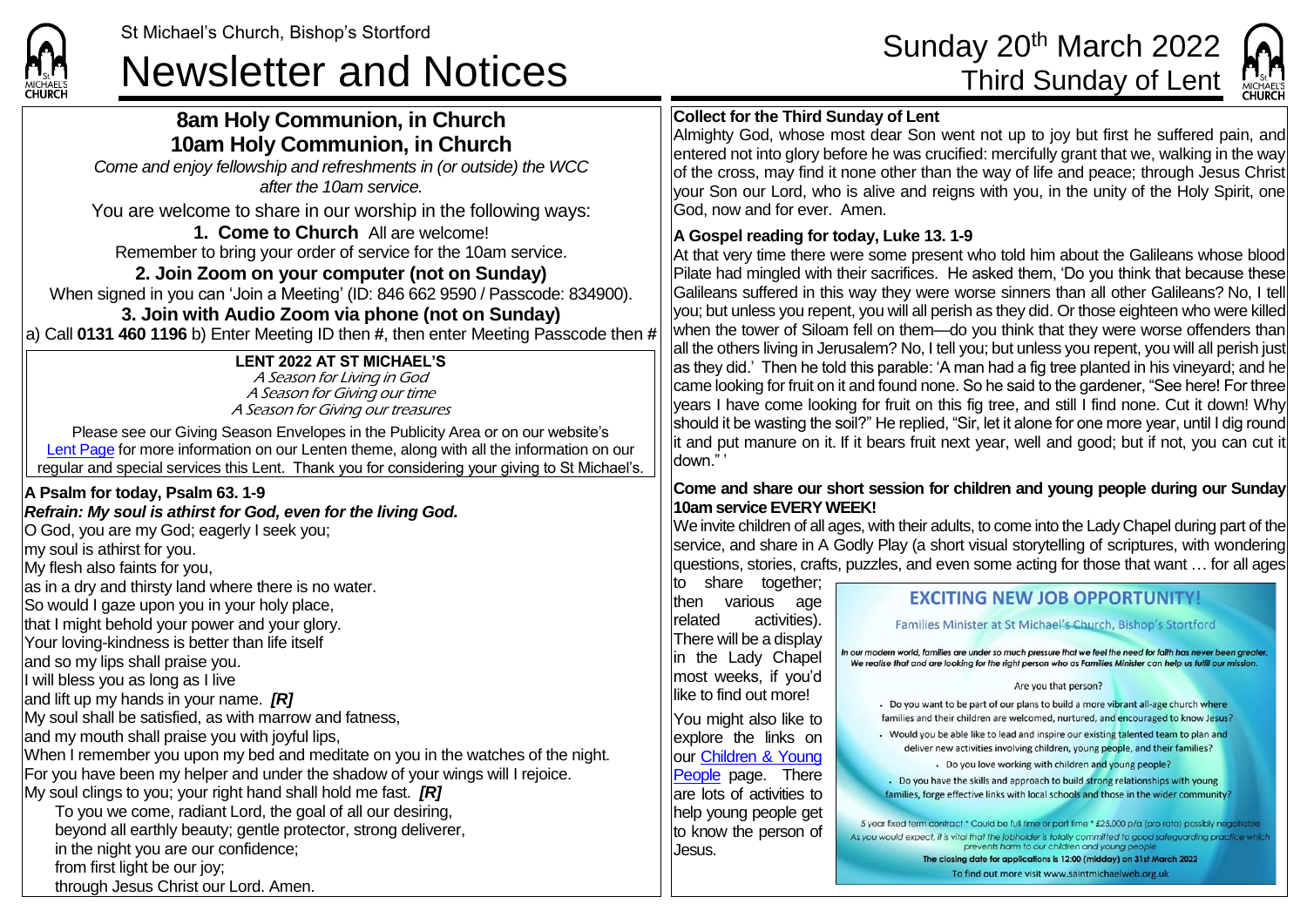

## **8am Holy Communion, in Church 10am Holy Communion, in Church**

*Come and enjoy fellowship and refreshments in (or outside) the WCC after the 10am service.*

You are welcome to share in our worship in the following ways:

**1. Come to Church** All are welcome! Remember to bring your order of service for the 10am service.

## **2. Join Zoom on your computer (not on Sunday)**

When signed in you can 'Join a Meeting' (ID: 846 662 9590 / Passcode: 834900). **3. Join with Audio Zoom via phone (not on Sunday)**

a) Call **0131 460 1196** b) Enter Meeting ID then **#**, then enter Meeting Passcode then **#**

### **LENT 2022 AT ST MICHAEL'S**

A Season for Living in God A Season for Giving our time A Season for Giving our treasures

Please see our Giving Season Envelopes in the Publicity Area or on our website's [Lent Page](https://saintmichaelweb.org.uk/Groups/356592/Lent_and_Easter.aspx) for more information on our Lenten theme, along with all the information on our regular and special services this Lent. Thank you for considering your giving to St Michael's.

### **A Psalm for today, Psalm 63. 1-9**

#### *Refrain: My soul is athirst for God, even for the living God.*

O God, you are my God; eagerly I seek you; my soul is athirst for you. My flesh also faints for you, as in a dry and thirsty land where there is no water. So would I gaze upon you in your holy place, that I might behold your power and your glory. Your loving-kindness is better than life itself and so my lips shall praise you. I will bless you as long as I live and lift up my hands in your name. *[R]* My soul shall be satisfied, as with marrow and fatness, and my mouth shall praise you with joyful lips, When I remember you upon my bed and meditate on you in the watches of the night. For you have been my helper and under the shadow of your wings will I rejoice. My soul clings to you; your right hand shall hold me fast. *[R]* To you we come, radiant Lord, the goal of all our desiring, beyond all earthly beauty; gentle protector, strong deliverer, in the night you are our confidence; from first light be our joy; through Jesus Christ our Lord. Amen.

# St Michael's Church, Bishop's Stortford Sunday 20<sup>th</sup> March 2022<br>Newsletter and Notices Third Sunday of Lent



### **Collect for the Third Sunday of Lent**

Almighty God, whose most dear Son went not up to joy but first he suffered pain, and entered not into glory before he was crucified: mercifully grant that we, walking in the way of the cross, may find it none other than the way of life and peace; through Jesus Christ your Son our Lord, who is alive and reigns with you, in the unity of the Holy Spirit, one God, now and for ever. Amen.

#### **A Gospel reading for today, Luke 13. 1-9**

At that very time there were some present who told him about the Galileans whose blood Pilate had mingled with their sacrifices. He asked them, 'Do you think that because these Galileans suffered in this way they were worse sinners than all other Galileans? No, I tell you; but unless you repent, you will all perish as they did. Or those eighteen who were killed when the tower of Siloam fell on them—do you think that they were worse offenders than all the others living in Jerusalem? No, I tell you; but unless you repent, you will all perish just as they did.' Then he told this parable: 'A man had a fig tree planted in his vineyard; and he came looking for fruit on it and found none. So he said to the gardener, "See here! For three years I have come looking for fruit on this fig tree, and still I find none. Cut it down! Why should it be wasting the soil?" He replied, "Sir, let it alone for one more year, until I dig round it and put manure on it. If it bears fruit next year, well and good; but if not, you can cut it down." '

#### **Come and share our short session for children and young people during our Sunday 10am service EVERY WEEK!**

We invite children of all ages, with their adults, to come into the Lady Chapel during part of the service, and share in A Godly Play (a short visual storytelling of scriptures, with wondering questions, stories, crafts, puzzles, and even some acting for those that want … for all ages

to share together; then various age related activities). There will be a display in the Lady Chapel most weeks, if you'd like to find out more! You might also like to explore the links on our [Children & Young](https://saintmichaelweb.org.uk/Groups/310496/Children_and_Young.aspx)  [People](https://saintmichaelweb.org.uk/Groups/310496/Children_and_Young.aspx) page. There are lots of activities to help young people get to know the person of Jesus.

#### **EXCITING NEW JOB OPPORTUNITY!**

Families Minister at St Michael's Church, Bishop's Stortford

In our modern world, families are under so much pressure that we feel the need for faith has never been areate We realise that and are looking for the right person who as Families Minister can help us fulfil our mission

#### Are you that person?

Do you want to be part of our plans to build a more vibrant all-age church where families and their children are welcomed, nurtured, and encouraged to know Jesus?

• Would you be able like to lead and inspire our existing talented team to plan and deliver new activities involving children, young people, and their families? - Do you love working with children and young people?

. Do you have the skills and approach to build strong relationships with young families, forge effective links with local schools and those in the wider community?

5 year fixed term contract \* Could be full time or part time \* £25,000 p/a (pro rata) possibly negotiable As you would expect, it is vital that the jobholder is totally committed to good safeguarding practice which prevents harm to our children and young people

The closing date for applications is 12:00 (midday) on 31st March 2022 To find out more visit www.saintmichaelweb.org.uk